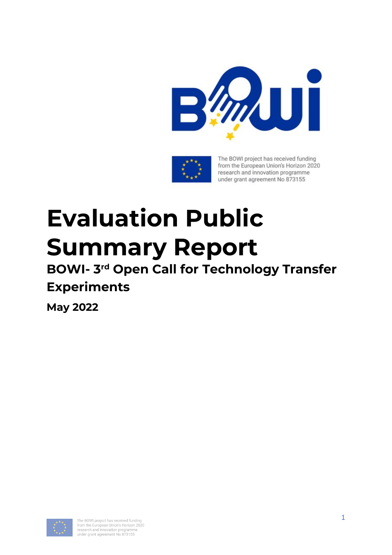



The BOWI project has received funding from the European Union's Horizon 2020 research and innovation programme under grant agreement No 873155

# **Evaluation Public Summary Report**

# **BOWI- 3 rd Open Call for Technology Transfer Experiments**

**May 2022**

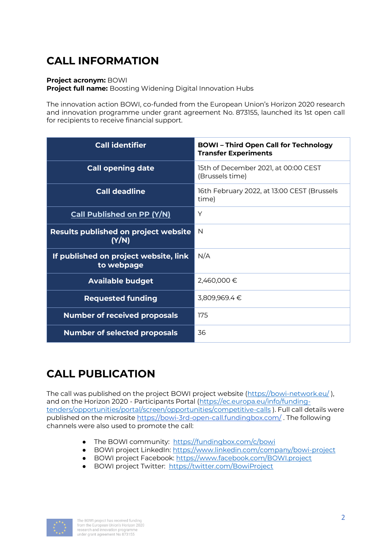# **CALL INFORMATION**

#### **Project acronym:** BOWI

**Project full name:** Boosting Widening Digital Innovation Hubs

The innovation action BOWI, co-funded from the European Union's Horizon 2020 research and innovation programme under grant agreement No. 873155, launched its 1st open call for recipients to receive financial support.

| <b>Call identifier</b>                               | <b>BOWI-Third Open Call for Technology</b><br><b>Transfer Experiments</b> |
|------------------------------------------------------|---------------------------------------------------------------------------|
| <b>Call opening date</b>                             | 15th of December 2021, at 00:00 CEST<br>(Brussels time)                   |
| <b>Call deadline</b>                                 | 16th February 2022, at 13:00 CEST (Brussels<br>time)                      |
| <b>Call Published on PP (Y/N)</b>                    | Y                                                                         |
| <b>Results published on project website</b><br>(Y/N) | N                                                                         |
| If published on project website, link<br>to webpage  | N/A                                                                       |
| <b>Available budget</b>                              | 2,460,000 €                                                               |
| <b>Requested funding</b>                             | 3,809,969.4 €                                                             |
| <b>Number of received proposals</b>                  | 175                                                                       |
| <b>Number of selected proposals</b>                  | 36                                                                        |

# **CALL PUBLICATION**

The call was published on the project BOWI project website [\(https://bowi-network.eu/](https://bowi-network.eu/) ), and on the Horizon 2020 - Participants Portal [\(https://ec.europa.eu/info/funding](https://ec.europa.eu/info/funding-tenders/opportunities/portal/screen/opportunities/competitive-calls)[tenders/opportunities/portal/screen/opportunities/competitive-calls](https://ec.europa.eu/info/funding-tenders/opportunities/portal/screen/opportunities/competitive-calls) ). Full call details were published on the microsite<https://bowi-3rd-open-call.fundingbox.com/> . The following channels were also used to promote the call:

- The BOWI community: <https://fundingbox.com/c/bowi>
- BOWI project LinkedIn: <https://www.linkedin.com/company/bowi-project>
- BOWI project Facebook:<https://www.facebook.com/BOWI.project>
- BOWI project Twitter: <https://twitter.com/BowiProject>

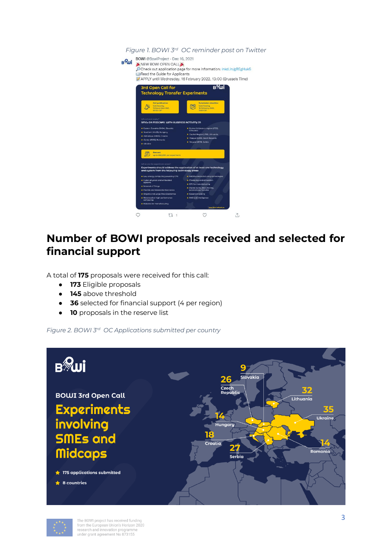*Figure 1. BOWI 3rd OC reminder post on Twitter* BOWI @BowiProject - Dec 16, 2021 B<sup>2</sup>wi NEW BOWI OPEN CALL (A)<br>Check out application page for more information: Inkd.in/gREgHuk5 Read the Guide for Applicants APPLY until Wednesday, 16 February 2022, 13:00 (Brussels Time) 3rd Open Call for<br>Technology Transfer Experiments в<sup>у</sup>ші 岗 SMEs OR MIDCAPS WITH BUSIN .<br>TIVITY IN  $L$ <sub>1</sub>  $\circlearrowleft$  $\hat{L}$  $\circ$ 

## **Number of BOWI proposals received and selected for financial support**

A total of **175** proposals were received for this call:

- **173** Eligible proposals
- **145** above threshold
- **36** selected for financial support (4 per region)
- **10** proposals in the reserve list

*Figure 2. BOWI 3rd OC Applications submitted per country*



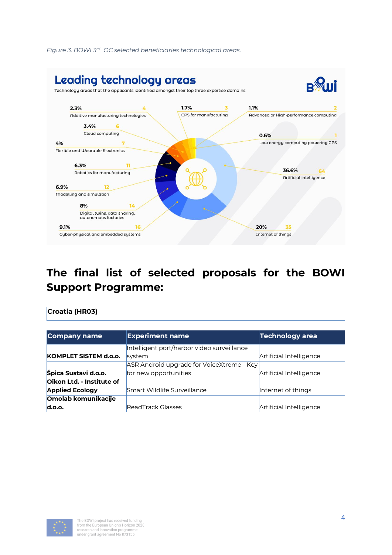

#### *Figure 3. BOWI 3rd OC selected beneficiaries technological areas.*

# **The final list of selected proposals for the BOWI Support Programme:**

#### **Croatia (HR03)**

| Company name              | <b>Experiment name</b>                     | Technology area         |
|---------------------------|--------------------------------------------|-------------------------|
|                           | Intelligent port/harbor video surveillance |                         |
| KOMPLET SISTEM d.o.o.     | system                                     | Artificial Intelligence |
|                           | ASR Android upgrade for VoiceXtreme - Key  |                         |
| Špica Sustavi d.o.o.      | for new opportunities                      | Artificial Intelligence |
| Oikon Ltd. - Institute of |                                            |                         |
| <b>Applied Ecology</b>    | Smart Wildlife Surveillance                | Internet of things      |
| Omolab komunikacije       |                                            |                         |
| d.o.o.                    | ReadTrack Glasses                          | Artificial Intelligence |

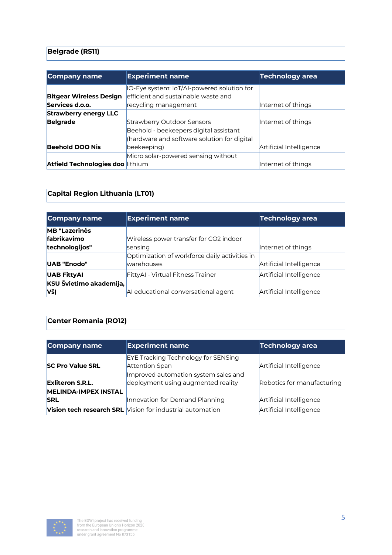## **Belgrade (RS11)**

| Company name                     | <b>Experiment name</b>                      | <b>Technology area</b>  |
|----------------------------------|---------------------------------------------|-------------------------|
|                                  | IO-Eye system: IoT/AI-powered solution for  |                         |
| <b>Bitgear Wireless Design</b>   | efficient and sustainable waste and         |                         |
| Services d.o.o.                  | recycling management                        | Internet of things      |
| <b>Strawberry energy LLC</b>     |                                             |                         |
| <b>Belgrade</b>                  | <b>Strawberry Outdoor Sensors</b>           | Internet of things      |
|                                  | Beehold - beekeepers digital assistant      |                         |
|                                  | (hardware and software solution for digital |                         |
| <b>Beehold DOO Nis</b>           | beekeeping)                                 | Artificial Intelligence |
|                                  | Micro solar-powered sensing without         |                         |
| Atfield Technologies doo lithium |                                             | Internet of things      |

## **Capital Region Lithuania (LT01)**

| <b>Company name</b>     | <b>Experiment name</b>                        | <b>Technology area</b>  |
|-------------------------|-----------------------------------------------|-------------------------|
| <b>MB</b> "Lazerinės    |                                               |                         |
| fabrikavimo             | Wireless power transfer for CO2 indoor        |                         |
| technologijos"          | sensing                                       | Internet of things      |
|                         | Optimization of workforce daily activities in |                         |
| UAB "Enodo"             | <b>warehouses</b>                             | Artificial Intelligence |
| <b>UAB FittyAI</b>      | FittyAl - Virtual Fitness Trainer             | Artificial Intelligence |
| KSU Švietimo akademija, |                                               |                         |
| VšĮ                     | AI educational conversational agent           | Artificial Intelligence |

## **Center Romania (RO12)**

| <b>Company name</b>         | <b>Experiment name</b>                                    | Technology area            |
|-----------------------------|-----------------------------------------------------------|----------------------------|
|                             | <b>EYE Tracking Technology for SENSing</b>                |                            |
| <b>SC Pro Value SRL</b>     | Attention Span                                            | Artificial Intelligence    |
|                             | Improved automation system sales and                      |                            |
| <b>Exliteron S.R.L.</b>     | deployment using augmented reality                        | Robotics for manufacturing |
| <b>MELINDA-IMPEX INSTAL</b> |                                                           |                            |
| <b>SRL</b>                  | Innovation for Demand Planning                            | Artificial Intelligence    |
|                             | Vision tech research SRL Vision for industrial automation | Artificial Intelligence    |

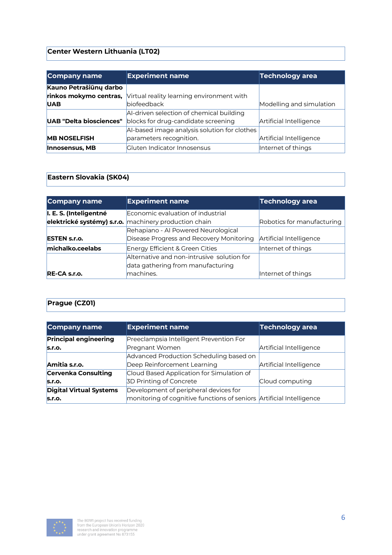## **Center Western Lithuania (LT02)**

| Company name                   | <b>Experiment name</b>                       | <b>Technology area</b>   |
|--------------------------------|----------------------------------------------|--------------------------|
| Kauno Petrašiūnų darbo         |                                              |                          |
| rinkos mokymo centras,         | Virtual reality learning environment with    |                          |
| <b>UAB</b>                     | biofeedback                                  | Modelling and simulation |
|                                | AI-driven selection of chemical building     |                          |
| <b>UAB "Delta biosciences"</b> | blocks for drug-candidate screening          | Artificial Intelligence  |
|                                | AI-based image analysis solution for clothes |                          |
| <b>MB NOSELFISH</b>            | parameters recognition.                      | Artificial Intelligence  |
| <b>Innosensus, MB</b>          | <b>Cluten Indicator Innosensus</b>           | Internet of things       |

#### **Eastern Slovakia (SK04)**

| Company name           | <b>Experiment name</b>                                | Technology area            |
|------------------------|-------------------------------------------------------|----------------------------|
| I. E. S. (Inteligentné | Economic evaluation of industrial                     |                            |
|                        | elektrické systémy) s.r.o. machinery production chain | Robotics for manufacturing |
|                        | Rehapiano - Al Powered Neurological                   |                            |
| <b>ESTEN s.r.o.</b>    | Disease Progress and Recovery Monitoring              | Artificial Intelligence    |
| michalko.ceelabs       | Energy Efficient & Green Cities                       | Internet of things         |
|                        | Alternative and non-intrusive solution for            |                            |
|                        | data gathering from manufacturing                     |                            |
| RE-CA s.r.o.           | machines.                                             | Internet of things         |

## **Prague (CZ01)**

| Company name                   | <b>Experiment name</b>                                               | <b>Technology area</b>  |
|--------------------------------|----------------------------------------------------------------------|-------------------------|
| <b>Principal engineering</b>   | Preeclampsia Intelligent Prevention For                              |                         |
| S.F.O.                         | Pregnant Women                                                       | Artificial Intelligence |
|                                | Advanced Production Scheduling based on                              |                         |
| Amitia s.r.o.                  | Deep Reinforcement Learning                                          | Artificial Intelligence |
| <b>Cervenka Consulting</b>     | Cloud Based Application for Simulation of                            |                         |
| S.r.o.                         | 3D Printing of Concrete                                              | Cloud computing         |
| <b>Digital Virtual Systems</b> | Development of peripheral devices for                                |                         |
| S.T.O.                         | monitoring of cognitive functions of seniors Artificial Intelligence |                         |